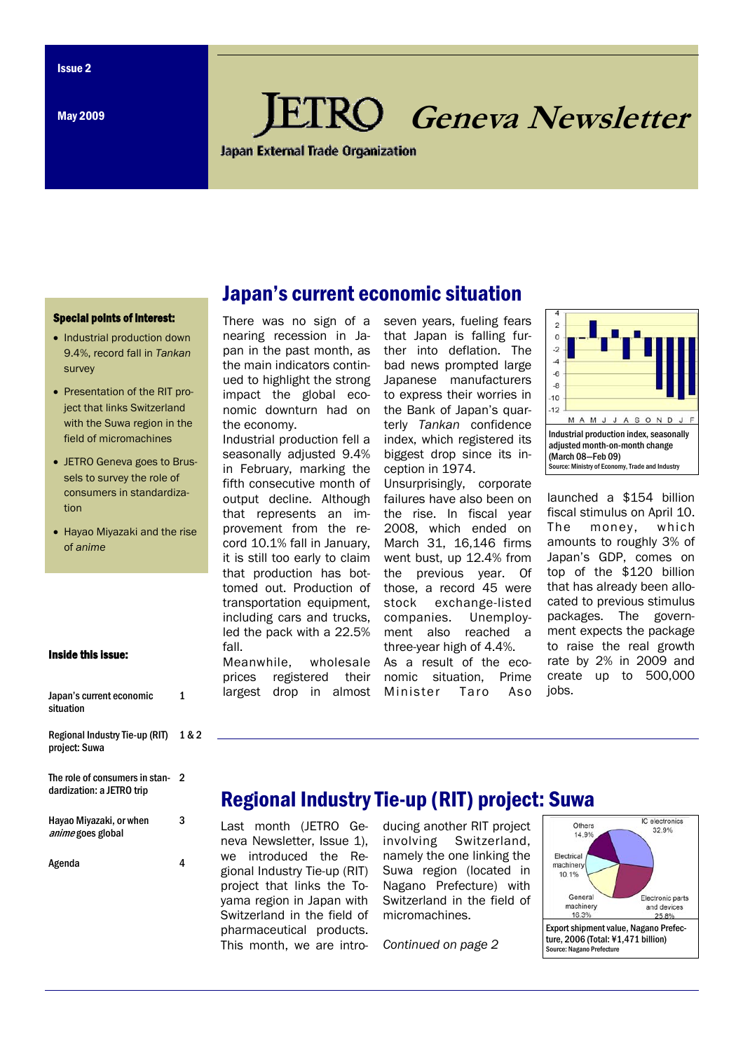May 2009

# **Geneva Newsletter**

Japan External Trade Organization

Japan's current economic situation

#### Special points of interest:

- Industrial production down 9.4%, record fall in *Tankan*  survey
- Presentation of the RIT project that links Switzerland with the Suwa region in the field of micromachines
- JETRO Geneva goes to Brussels to survey the role of consumers in standardization
- Hayao Miyazaki and the rise of *anime*

#### Inside this issue:

| Japan's current economic<br>situation                       | 1     |
|-------------------------------------------------------------|-------|
| Regional Industry Tie-up (RIT)<br>project: Suwa             | 1 & 2 |
| The role of consumers in stan-<br>dardization: a JETRO trip | 2     |
| Hayao Miyazaki, or when<br><i>anime</i> goes global         | 3     |
| Agenda                                                      |       |

## There was no sign of a nearing recession in Japan in the past month, as the main indicators continued to highlight the strong impact the global economic downturn had on the economy.

Industrial production fell a seasonally adjusted 9.4% in February, marking the fifth consecutive month of output decline. Although that represents an improvement from the record 10.1% fall in January, it is still too early to claim that production has bottomed out. Production of transportation equipment, including cars and trucks, led the pack with a 22.5% fall.

Meanwhile, wholesale prices registered their largest drop in almost

seven years, fueling fears that Japan is falling further into deflation. The bad news prompted large Japanese manufacturers to express their worries in the Bank of Japan's quarterly *Tankan* confidence index, which registered its biggest drop since its inception in 1974.

Unsurprisingly, corporate failures have also been on the rise. In fiscal year 2008, which ended on March 31, 16,146 firms went bust, up 12.4% from the previous year. Of those, a record 45 were stock exchange-listed companies. Unemployment also reached a three-year high of 4.4%.

As a result of the economic situation, Prime Minister Taro Aso



launched a \$154 billion fiscal stimulus on April 10. The money, which amounts to roughly 3% of Japan's GDP, comes on top of the \$120 billion that has already been allocated to previous stimulus packages. The government expects the package to raise the real growth rate by 2% in 2009 and create up to 500,000 jobs.

## Regional Industry Tie-up (RIT) project: Suwa

Last month (JETRO Geneva Newsletter, Issue 1), we introduced the Regional Industry Tie-up (RIT) project that links the Toyama region in Japan with Switzerland in the field of pharmaceutical products. This month, we are introducing another RIT project involving Switzerland, namely the one linking the Suwa region (located in Nagano Prefecture) with Switzerland in the field of micromachines.

*Continued on page 2* 

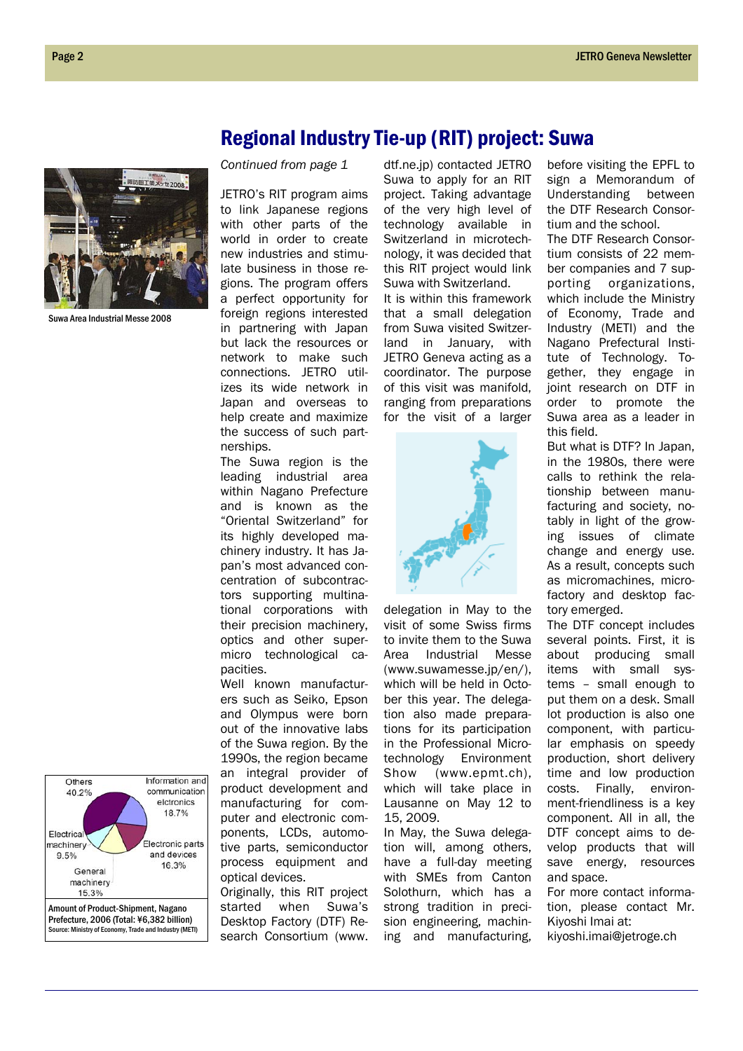

Suwa Area Industrial Messe 2008

## Regional Industry Tie-up (RIT) project: Suwa

*Continued from page 1* 

JETRO's RIT program aims to link Japanese regions with other parts of the world in order to create new industries and stimulate business in those regions. The program offers a perfect opportunity for foreign regions interested in partnering with Japan but lack the resources or network to make such connections. JETRO utilizes its wide network in Japan and overseas to help create and maximize the success of such partnerships.

The Suwa region is the leading industrial area within Nagano Prefecture and is known as the "Oriental Switzerland" for its highly developed machinery industry. It has Japan's most advanced concentration of subcontractors supporting multinational corporations with their precision machinery, optics and other supermicro technological capacities.

Well known manufacturers such as Seiko, Epson and Olympus were born out of the innovative labs of the Suwa region. By the 1990s, the region became an integral provider of product development and manufacturing for computer and electronic components, LCDs, automotive parts, semiconductor process equipment and optical devices.

Originally, this RIT project started when Suwa's Desktop Factory (DTF) Research Consortium (www. dtf.ne.jp) contacted JETRO Suwa to apply for an RIT project. Taking advantage of the very high level of technology available in Switzerland in microtechnology, it was decided that this RIT project would link Suwa with Switzerland. It is within this framework that a small delegation from Suwa visited Switzerland in January, with JETRO Geneva acting as a coordinator. The purpose of this visit was manifold, ranging from preparations for the visit of a larger



delegation in May to the visit of some Swiss firms to invite them to the Suwa Area Industrial Messe (www.suwamesse.jp/en/), which will be held in October this year. The delegation also made preparations for its participation in the Professional Microtechnology Environment Show (www.epmt.ch), which will take place in Lausanne on May 12 to 15, 2009.

In May, the Suwa delegation will, among others, have a full-day meeting with SMEs from Canton Solothurn, which has a strong tradition in precision engineering, machining and manufacturing,

before visiting the EPFL to sign a Memorandum of Understanding between the DTF Research Consortium and the school. The DTF Research Consor-

tium consists of 22 member companies and 7 supporting organizations, which include the Ministry of Economy, Trade and Industry (METI) and the Nagano Prefectural Institute of Technology. Together, they engage in joint research on DTF in order to promote the Suwa area as a leader in this field.

But what is DTF? In Japan, in the 1980s, there were calls to rethink the relationship between manufacturing and society, notably in light of the growing issues of climate change and energy use. As a result, concepts such as micromachines, microfactory and desktop factory emerged.

The DTF concept includes several points. First, it is about producing small items with small systems – small enough to put them on a desk. Small lot production is also one component, with particular emphasis on speedy production, short delivery time and low production costs. Finally, environment-friendliness is a key component. All in all, the DTF concept aims to develop products that will save energy, resources and space.

For more contact information, please contact Mr. Kiyoshi Imai at: kiyoshi.imai@jetroge.ch

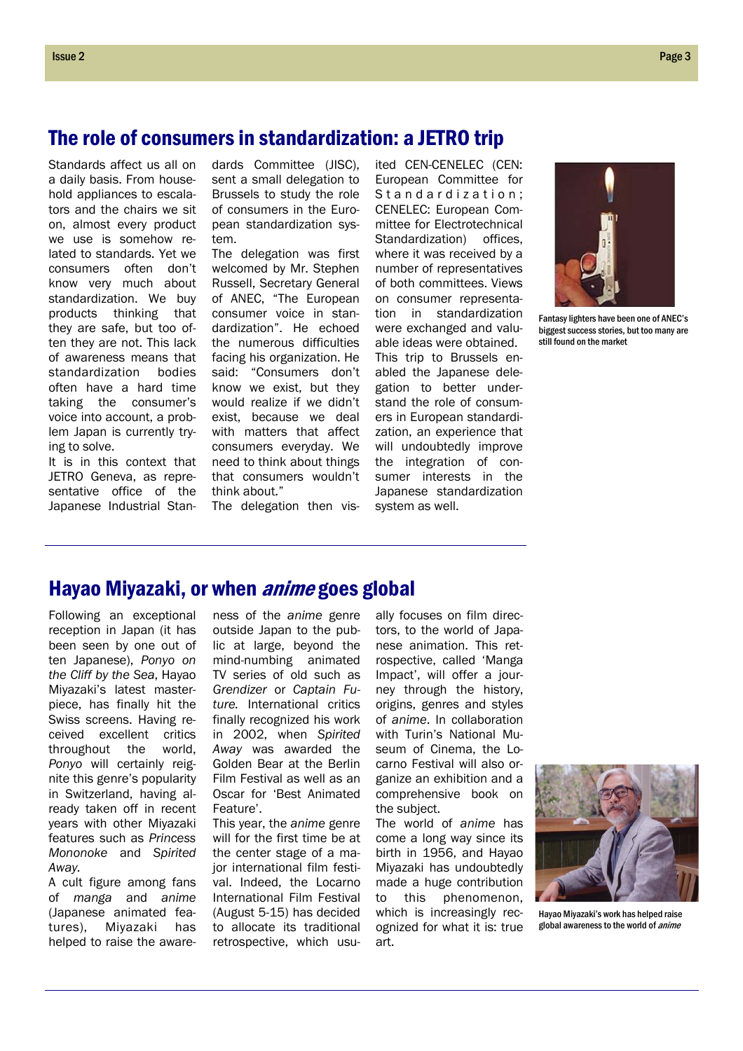## The role of consumers in standardization: a JETRO trip

Standards affect us all on a daily basis. From household appliances to escalators and the chairs we sit on, almost every product we use is somehow related to standards. Yet we consumers often don't know very much about standardization. We buy products thinking that they are safe, but too often they are not. This lack of awareness means that standardization bodies often have a hard time taking the consumer's voice into account, a problem Japan is currently trying to solve.

It is in this context that JETRO Geneva, as representative office of the Japanese Industrial Standards Committee (JISC), sent a small delegation to Brussels to study the role of consumers in the European standardization system.

The delegation was first welcomed by Mr. Stephen Russell, Secretary General of ANEC, "The European consumer voice in standardization". He echoed the numerous difficulties facing his organization. He said: "Consumers don't know we exist, but they would realize if we didn't exist, because we deal with matters that affect consumers everyday. We need to think about things that consumers wouldn't think about."

The delegation then vis-

European Committee for Standardization; CENELEC: European Committee for Electrotechnical Standardization) offices, where it was received by a number of representatives of both committees. Views on consumer representation in standardization were exchanged and valuable ideas were obtained. This trip to Brussels enabled the Japanese delegation to better understand the role of consumers in European standardization, an experience that will undoubtedly improve the integration of consumer interests in the Japanese standardization system as well.

ited CEN-CENELEC (CEN:



Fantasy lighters have been one of ANEC's biggest success stories, but too many are still found on the market

## Hayao Miyazaki, or when *anime* goes global

Following an exceptional reception in Japan (it has been seen by one out of ten Japanese), *Ponyo on the Cliff by the Sea*, Hayao Miyazaki's latest masterpiece, has finally hit the Swiss screens. Having received excellent critics throughout the world, *Ponyo* will certainly reignite this genre's popularity in Switzerland, having already taken off in recent years with other Miyazaki features such as *Princess Mononoke* and *Spirited Away.* 

A cult figure among fans of *manga* and *anime*  (Japanese animated features), Miyazaki has helped to raise the aware-

ness of the *anime* genre outside Japan to the public at large, beyond the mind-numbing animated TV series of old such as *Grendizer* or *Captain Future.* International critics finally recognized his work in 2002, when *Spirited Away* was awarded the Golden Bear at the Berlin Film Festival as well as an Oscar for 'Best Animated Feature'.

This year, the *anime* genre will for the first time be at the center stage of a major international film festival. Indeed, the Locarno International Film Festival (August 5-15) has decided to allocate its traditional retrospective, which usu-

ally focuses on film directors, to the world of Japanese animation. This retrospective, called 'Manga Impact', will offer a journey through the history, origins, genres and styles of *anime*. In collaboration with Turin's National Museum of Cinema, the Locarno Festival will also organize an exhibition and a comprehensive book on the subject.

The world of *anime* has come a long way since its birth in 1956, and Hayao Miyazaki has undoubtedly made a huge contribution to this phenomenon, which is increasingly recognized for what it is: true art.



Hayao Miyazaki's work has helped raise global awareness to the world of *anime*